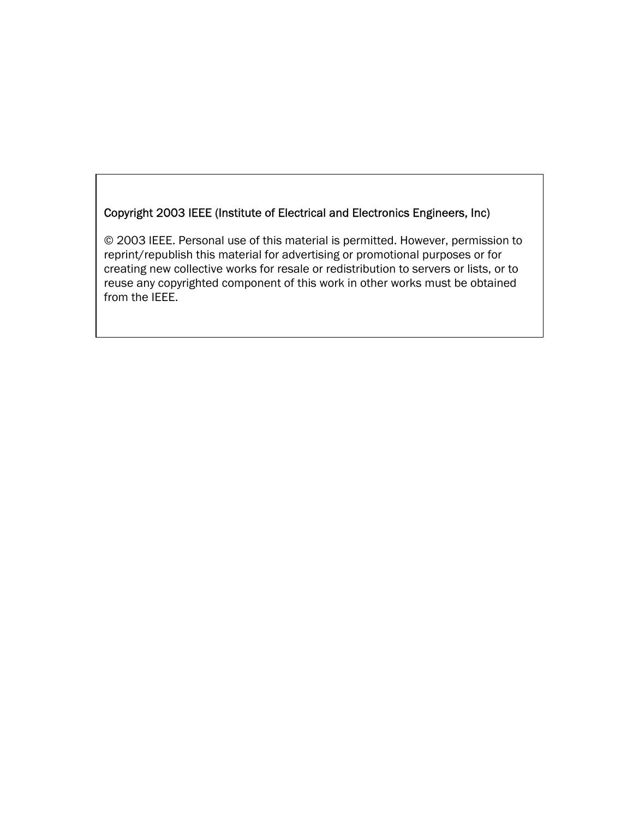# Copyright 2003 IEEE (Institute of Electrical and Electronics Engineers, Inc)

© 2003 IEEE. Personal use of this material is permitted. However, permission to reprint/republish this material for advertising or promotional purposes or for creating new collective works for resale or redistribution to servers or lists, or to reuse any copyrighted component of this work in other works must be obtained from the IEEE.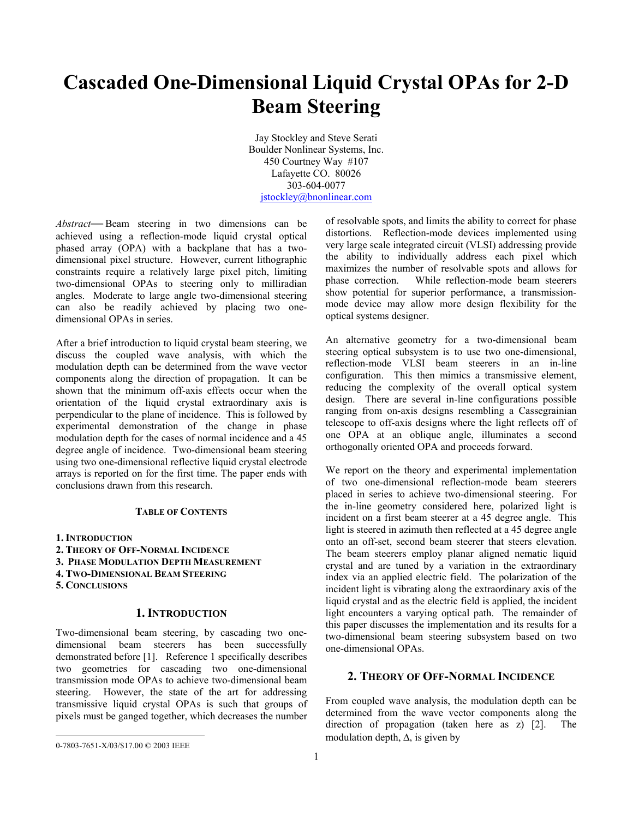# **Cascaded One-Dimensional Liquid Crystal OPAs for 2-D Beam Steering**

Jay Stockley and Steve Serati Boulder Nonlinear Systems, Inc. 450 Courtney Way #107 Lafayette CO. 80026 303-604-0077 jstockley@bnonlinear.com

*Abstract***—** Beam steering in two dimensions can be achieved using a reflection-mode liquid crystal optical phased array (OPA) with a backplane that has a twodimensional pixel structure. However, current lithographic constraints require a relatively large pixel pitch, limiting two-dimensional OPAs to steering only to milliradian angles. Moderate to large angle two-dimensional steering can also be readily achieved by placing two onedimensional OPAs in series.

After a brief introduction to liquid crystal beam steering, we discuss the coupled wave analysis, with which the modulation depth can be determined from the wave vector components along the direction of propagation. It can be shown that the minimum off-axis effects occur when the orientation of the liquid crystal extraordinary axis is perpendicular to the plane of incidence. This is followed by experimental demonstration of the change in phase modulation depth for the cases of normal incidence and a 45 degree angle of incidence. Two-dimensional beam steering using two one-dimensional reflective liquid crystal electrode arrays is reported on for the first time. The paper ends with conclusions drawn from this research.

#### **TABLE OF CONTENTS**

- **1. INTRODUCTION**
- **2. THEORY OF OFF-NORMAL INCIDENCE**
- **3. PHASE MODULATION DEPTH MEASUREMENT**
- **4. TWO-DIMENSIONAL BEAM STEERING**
- **5. CONCLUSIONS**

 $\overline{a}$ 

## **1. INTRODUCTION**

Two-dimensional beam steering, by cascading two onedimensional beam steerers has been successfully demonstrated before [1]. Reference 1 specifically describes two geometries for cascading two one-dimensional transmission mode OPAs to achieve two-dimensional beam steering. However, the state of the art for addressing transmissive liquid crystal OPAs is such that groups of pixels must be ganged together, which decreases the number

of resolvable spots, and limits the ability to correct for phase distortions. Reflection-mode devices implemented using very large scale integrated circuit (VLSI) addressing provide the ability to individually address each pixel which maximizes the number of resolvable spots and allows for phase correction. While reflection-mode beam steerers show potential for superior performance, a transmissionmode device may allow more design flexibility for the optical systems designer.

An alternative geometry for a two-dimensional beam steering optical subsystem is to use two one-dimensional, reflection-mode VLSI beam steerers in an in-line configuration. This then mimics a transmissive element, reducing the complexity of the overall optical system design. There are several in-line configurations possible ranging from on-axis designs resembling a Cassegrainian telescope to off-axis designs where the light reflects off of one OPA at an oblique angle, illuminates a second orthogonally oriented OPA and proceeds forward.

We report on the theory and experimental implementation of two one-dimensional reflection-mode beam steerers placed in series to achieve two-dimensional steering. For the in-line geometry considered here, polarized light is incident on a first beam steerer at a 45 degree angle. This light is steered in azimuth then reflected at a 45 degree angle onto an off-set, second beam steerer that steers elevation. The beam steerers employ planar aligned nematic liquid crystal and are tuned by a variation in the extraordinary index via an applied electric field. The polarization of the incident light is vibrating along the extraordinary axis of the liquid crystal and as the electric field is applied, the incident light encounters a varying optical path. The remainder of this paper discusses the implementation and its results for a two-dimensional beam steering subsystem based on two one-dimensional OPAs.

# **2. THEORY OF OFF-NORMAL INCIDENCE**

From coupled wave analysis, the modulation depth can be determined from the wave vector components along the direction of propagation (taken here as z) [2]. The modulation depth,  $\Delta$ , is given by

<sup>0-7803-7651-</sup>X/03/\$17.00 © 2003 IEEE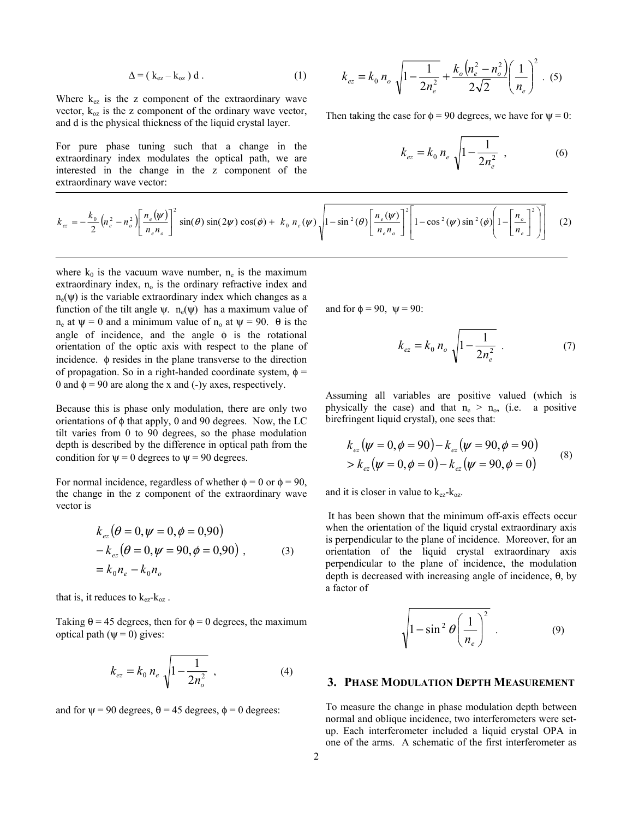$$
\Delta = (k_{ez} - k_{oz}) d. \tag{1}
$$

Where  $k_{ez}$  is the z component of the extraordinary wave vector,  $k_{oz}$  is the z component of the ordinary wave vector, and d is the physical thickness of the liquid crystal layer.

For pure phase tuning such that a change in the extraordinary index modulates the optical path, we are interested in the change in the z component of the extraordinary wave vector:

$$
k_{ez} = k_0 n_o \sqrt{1 - \frac{1}{2n_e^2}} + \frac{k_o (n_e^2 - n_o^2)}{2\sqrt{2}} \left(\frac{1}{n_e}\right)^2
$$
 (5)

Then taking the case for  $\phi = 90$  degrees, we have for  $\psi = 0$ :

$$
k_{ez} = k_0 n_e \sqrt{1 - \frac{1}{2n_e^2}} \t{6}
$$

$$
k_{ez} = -\frac{k_0}{2} \left( n_e^2 - n_o^2 \right) \left[ \frac{n_e(\psi)}{n_e n_o} \right]^2 \sin(\theta) \sin(2\psi) \cos(\phi) + k_0 n_e(\psi) \sqrt{1 - \sin^2(\theta) \left[ \frac{n_e(\psi)}{n_e n_o} \right]^2 \left[ 1 - \cos^2(\psi) \sin^2(\phi) \left( 1 - \left[ \frac{n_o}{n_e} \right]^2 \right) \right]} \tag{2}
$$

where  $k_0$  is the vacuum wave number,  $n_e$  is the maximum extraordinary index, n<sub>o</sub> is the ordinary refractive index and  $n_e(\psi)$  is the variable extraordinary index which changes as a function of the tilt angle  $\psi$ . n<sub>e</sub>( $\psi$ ) has a maximum value of  $n_e$  at  $\psi = 0$  and a minimum value of  $n_o$  at  $\psi = 90$ . θ is the angle of incidence, and the angle  $\phi$  is the rotational orientation of the optic axis with respect to the plane of incidence. φ resides in the plane transverse to the direction of propagation. So in a right-handed coordinate system,  $\phi$  = 0 and  $\phi$  = 90 are along the x and (-)y axes, respectively.

Because this is phase only modulation, there are only two orientations of φ that apply, 0 and 90 degrees. Now, the LC tilt varies from 0 to 90 degrees, so the phase modulation depth is described by the difference in optical path from the condition for  $\psi = 0$  degrees to  $\psi = 90$  degrees.

For normal incidence, regardless of whether  $\phi = 0$  or  $\phi = 90$ , the change in the z component of the extraordinary wave vector is

$$
k_{ez} (\theta = 0, \psi = 0, \phi = 0,90)
$$
  
-  $k_{ez} (\theta = 0, \psi = 90, \phi = 0,90)$ , (3)  
=  $k_0 n_e - k_0 n_o$ 

that is, it reduces to  $k_{ez}$ - $k_{oz}$ .

Taking  $\theta$  = 45 degrees, then for  $\phi$  = 0 degrees, the maximum optical path ( $\psi$  = 0) gives:

$$
k_{ez} = k_0 n_e \sqrt{1 - \frac{1}{2n_o^2}} \tag{4}
$$

and for  $\psi$  = 90 degrees,  $\theta$  = 45 degrees,  $\phi$  = 0 degrees:

and for  $\phi = 90$ ,  $\psi = 90$ :

$$
k_{ez} = k_0 n_o \sqrt{1 - \frac{1}{2n_e^2}}
$$
 (7)

Assuming all variables are positive valued (which is physically the case) and that  $n_e > n_o$ , (i.e. a positive birefringent liquid crystal), one sees that:

$$
k_{ez}(\psi = 0, \phi = 90) - k_{ez}(\psi = 90, \phi = 90)
$$
  
>  $k_{ez}(\psi = 0, \phi = 0) - k_{ez}(\psi = 90, \phi = 0)$  (8)

and it is closer in value to  $k_{ez}$ - $k_{oz}$ .

 It has been shown that the minimum off-axis effects occur when the orientation of the liquid crystal extraordinary axis is perpendicular to the plane of incidence. Moreover, for an orientation of the liquid crystal extraordinary axis perpendicular to the plane of incidence, the modulation depth is decreased with increasing angle of incidence, θ, by a factor of

$$
\sqrt{1 - \sin^2 \theta \left(\frac{1}{n_e}\right)^2} \quad . \tag{9}
$$

#### **3. PHASE MODULATION DEPTH MEASUREMENT**

To measure the change in phase modulation depth between normal and oblique incidence, two interferometers were setup. Each interferometer included a liquid crystal OPA in one of the arms. A schematic of the first interferometer as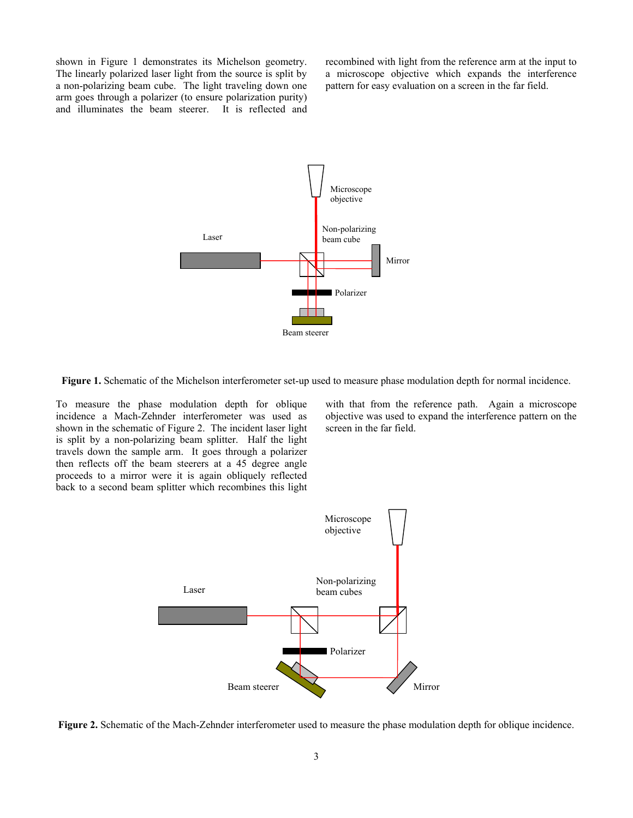shown in Figure 1 demonstrates its Michelson geometry. The linearly polarized laser light from the source is split by a non-polarizing beam cube. The light traveling down one arm goes through a polarizer (to ensure polarization purity) and illuminates the beam steerer. It is reflected and recombined with light from the reference arm at the input to a microscope objective which expands the interference pattern for easy evaluation on a screen in the far field.



**Figure 1.** Schematic of the Michelson interferometer set-up used to measure phase modulation depth for normal incidence.

To measure the phase modulation depth for oblique incidence a Mach-Zehnder interferometer was used as shown in the schematic of Figure 2. The incident laser light is split by a non-polarizing beam splitter. Half the light travels down the sample arm. It goes through a polarizer then reflects off the beam steerers at a 45 degree angle proceeds to a mirror were it is again obliquely reflected back to a second beam splitter which recombines this light

with that from the reference path. Again a microscope objective was used to expand the interference pattern on the screen in the far field.



**Figure 2.** Schematic of the Mach-Zehnder interferometer used to measure the phase modulation depth for oblique incidence.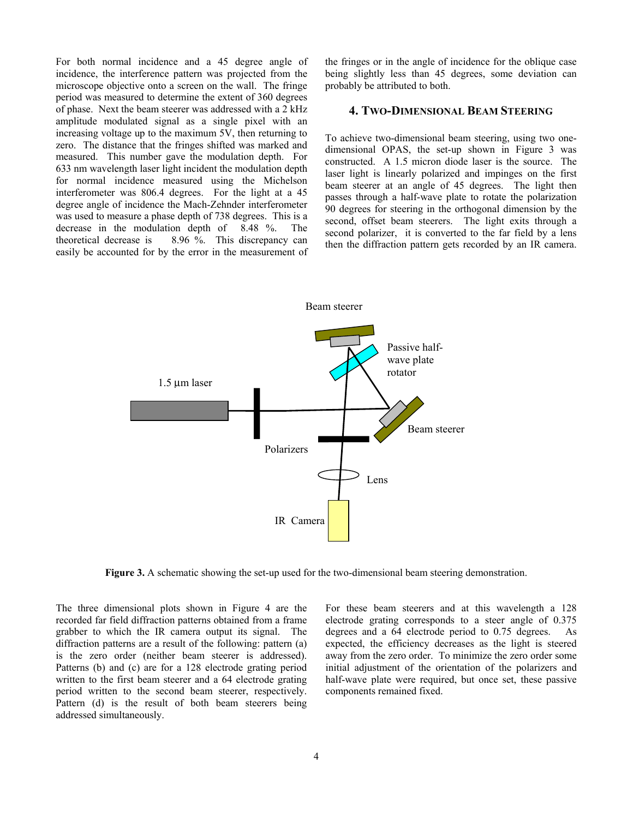For both normal incidence and a 45 degree angle of incidence, the interference pattern was projected from the microscope objective onto a screen on the wall. The fringe period was measured to determine the extent of 360 degrees of phase. Next the beam steerer was addressed with a 2 kHz amplitude modulated signal as a single pixel with an increasing voltage up to the maximum 5V, then returning to zero. The distance that the fringes shifted was marked and measured. This number gave the modulation depth. For 633 nm wavelength laser light incident the modulation depth for normal incidence measured using the Michelson interferometer was 806.4 degrees. For the light at a 45 degree angle of incidence the Mach-Zehnder interferometer was used to measure a phase depth of 738 degrees. This is a decrease in the modulation depth of 8.48 %. The theoretical decrease is  $8.96\%$ . This discrepancy can easily be accounted for by the error in the measurement of the fringes or in the angle of incidence for the oblique case being slightly less than 45 degrees, some deviation can probably be attributed to both.

# **4. TWO-DIMENSIONAL BEAM STEERING**

To achieve two-dimensional beam steering, using two onedimensional OPAS, the set-up shown in Figure 3 was constructed. A 1.5 micron diode laser is the source. The laser light is linearly polarized and impinges on the first beam steerer at an angle of 45 degrees. The light then passes through a half-wave plate to rotate the polarization 90 degrees for steering in the orthogonal dimension by the second, offset beam steerers. The light exits through a second polarizer, it is converted to the far field by a lens then the diffraction pattern gets recorded by an IR camera.



**Figure 3.** A schematic showing the set-up used for the two-dimensional beam steering demonstration.

The three dimensional plots shown in Figure 4 are the recorded far field diffraction patterns obtained from a frame grabber to which the IR camera output its signal. The diffraction patterns are a result of the following: pattern (a) is the zero order (neither beam steerer is addressed). Patterns (b) and (c) are for a 128 electrode grating period written to the first beam steerer and a 64 electrode grating period written to the second beam steerer, respectively. Pattern (d) is the result of both beam steerers being addressed simultaneously.

For these beam steerers and at this wavelength a 128 electrode grating corresponds to a steer angle of 0.375 degrees and a 64 electrode period to 0.75 degrees. As expected, the efficiency decreases as the light is steered away from the zero order. To minimize the zero order some initial adjustment of the orientation of the polarizers and half-wave plate were required, but once set, these passive components remained fixed.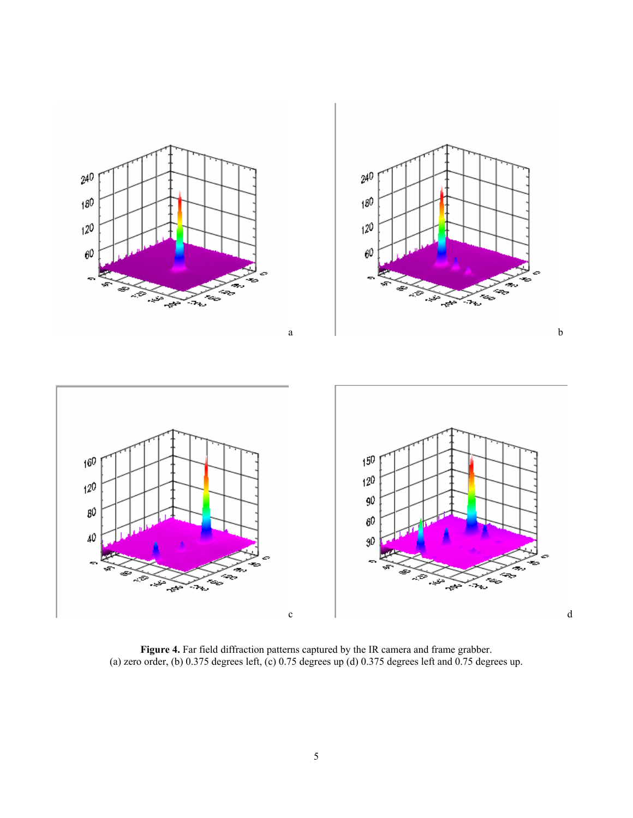

**Figure 4.** Far field diffraction patterns captured by the IR camera and frame grabber. (a) zero order, (b) 0.375 degrees left, (c) 0.75 degrees up (d) 0.375 degrees left and  $0.75$  degrees up.